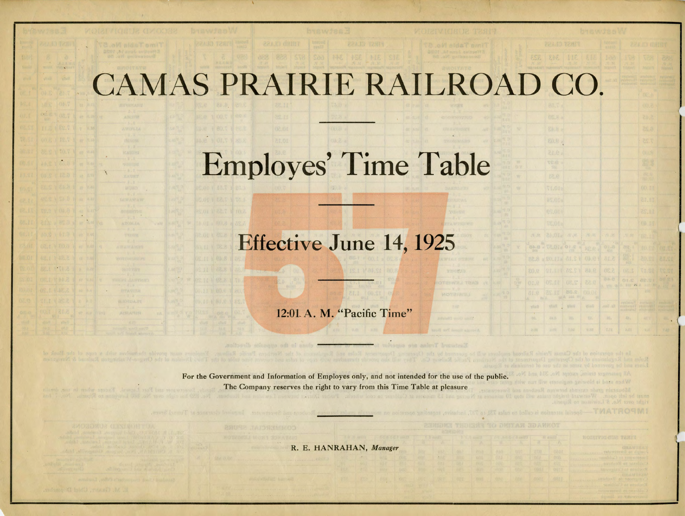## CAMAS PRAIRIE RAILROAD

| Employes' Time Table |  |  |  |  |
|----------------------|--|--|--|--|

## Effective June 14, 1925

IST MALS

12:01 A. M. "Pacific Time"

For the Government and Information of Employes only, and not intended for the use of the public. The Company reserves the right to vary from this Time Table at pleasure

. R. E. HANRAHAN, *Manager* 

sismo Chidi baras

 $0.1$ 

LIDROAT

| realty<br>016V       |                    |                            |               |                                                                                     |                                                            |                                                                |                                                   |  |  |  |  |  |
|----------------------|--------------------|----------------------------|---------------|-------------------------------------------------------------------------------------|------------------------------------------------------------|----------------------------------------------------------------|---------------------------------------------------|--|--|--|--|--|
|                      | <b>REAGE CLASS</b> |                            |               | <b>Publishing</b><br><b>ZZAID GAINT</b><br>24863                                    |                                                            |                                                                |                                                   |  |  |  |  |  |
| 机工程<br>图 例           | 312 343            |                            | V EIE         | 160<br>北南<br>Ivajor's                                                               | 178<br>25.25<br>Total and                                  | <b>Text</b><br><b>JWein N</b>                                  | 888<br>$32 - 34$<br><b>Silgian</b> V              |  |  |  |  |  |
|                      |                    |                            |               | <b>NUE 36</b>                                                                       | <b>AVESTWEEDS</b><br><b>Selection</b><br><b>CONTRACTOR</b> | <b>EVUS SAUT</b><br><b>TEVET THI</b><br>Walling (6)            | <b>FUELOMARY</b><br>11011201                      |  |  |  |  |  |
|                      |                    | $\overline{\phantom{a}}$   |               |                                                                                     |                                                            | <b>DEL</b>                                                     | <b>STATISTICS</b>                                 |  |  |  |  |  |
|                      | 88.7 a             |                            |               |                                                                                     |                                                            | 00.8                                                           |                                                   |  |  |  |  |  |
|                      | $-8.20$            |                            |               |                                                                                     |                                                            | $\overline{c}$ $\downarrow$ $\overline{c}$                     |                                                   |  |  |  |  |  |
|                      | 88.8 8             |                            |               |                                                                                     |                                                            | <b>BS.8</b>                                                    |                                                   |  |  |  |  |  |
|                      | 80.8%              |                            |               |                                                                                     |                                                            | 花生天                                                            |                                                   |  |  |  |  |  |
|                      | 81.0<br>120 -      |                            |               |                                                                                     |                                                            | OULA<br>SE N                                                   |                                                   |  |  |  |  |  |
| $\ddot{\phantom{a}}$ | TOP.<br>18.81      |                            |               |                                                                                     |                                                            | 混凝                                                             |                                                   |  |  |  |  |  |
|                      | <b>S1.04%</b>      |                            |               |                                                                                     |                                                            | 80,07<br>00.11                                                 |                                                   |  |  |  |  |  |
|                      | <b>NEW 24</b>      |                            |               |                                                                                     |                                                            | GI.DI                                                          |                                                   |  |  |  |  |  |
|                      | <b>es.or</b>       |                            |               |                                                                                     |                                                            | 11.25                                                          |                                                   |  |  |  |  |  |
|                      | Vo.OLa             |                            |               |                                                                                     |                                                            | <b>FIB.51</b>                                                  |                                                   |  |  |  |  |  |
| 凡立                   | M. B. S. 10.45     |                            | 压,可           | · 理学                                                                                | . 91 FF                                                    | 06.11                                                          |                                                   |  |  |  |  |  |
|                      |                    | 12.018012                  | RE.C.         | $\begin{array}{c} \mathbb{Q} & \mathbb{Z}^2 \\ \mathbb{Q} & \mathbb{Q} \end{array}$ | <b>bg.</b>                                                 | CO.E                                                           | (江后)                                              |  |  |  |  |  |
| 8.5<br>30.0          |                    | 12.15 ALS 1<br>72.25 11.19 | 0人总计<br>84.8  | 01.8<br>5.30                                                                        | <b>UNIL</b>                                                | 80.21<br>VI.SI                                                 | 12.15<br>VS. 21                                   |  |  |  |  |  |
| 12.0                 | 06.II              | 08.57                      | cc.o          |                                                                                     | O(1.52)                                                    | c                                                              |                                                   |  |  |  |  |  |
| V.R                  | 71.25<br>M/A       | 26.2<br><b>DAY</b> IN      | 00.01         |                                                                                     | A BRE GALA AND WAA                                         | 2.11/10<br>kill2                                               |                                                   |  |  |  |  |  |
| <b>MRAID</b>         | <b>whach</b>       | <b>Science</b>             | <b>Arrest</b> | <b>June 12</b>                                                                      | <b>Pystempton</b><br><b>Syahatud</b><br><b>BURBINATAZ</b>  | <b>Brook Buckers</b><br><b>Pymbre Hits 1</b><br>a quan catalog | AVANTURA)<br><b>PERSONAL</b><br><b>AVSIVARISE</b> |  |  |  |  |  |
| $\sim$<br>UG.        | 毒机作                | 凹.                         | EW.           | 00.                                                                                 | 动,                                                         | 40.V                                                           | $\partial\mathcal{H}$                             |  |  |  |  |  |
| 20世                  | 2.02               | 7:342                      | 0.88          | <b>TIPE</b>                                                                         | 1/71                                                       | 机ぜ                                                             | <b>TUS</b>                                        |  |  |  |  |  |
|                      |                    |                            |               |                                                                                     |                                                            |                                                                |                                                   |  |  |  |  |  |